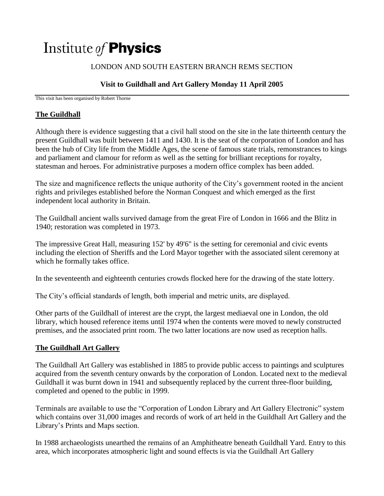# Institute of **Physics**

## LONDON AND SOUTH EASTERN BRANCH REMS SECTION

## **Visit to Guildhall and Art Gallery Monday 11 April 2005**

This visit has been organised by Robert Thorne

### **The Guildhall**

Although there is evidence suggesting that a civil hall stood on the site in the late thirteenth century the present Guildhall was built between 1411 and 1430. It is the seat of the corporation of London and has been the hub of City life from the Middle Ages, the scene of famous state trials, remonstrances to kings and parliament and clamour for reform as well as the setting for brilliant receptions for royalty, statesman and heroes. For administrative purposes a modern office complex has been added.

The size and magnificence reflects the unique authority of the City's government rooted in the ancient rights and privileges established before the Norman Conquest and which emerged as the first independent local authority in Britain.

The Guildhall ancient walls survived damage from the great Fire of London in 1666 and the Blitz in 1940; restoration was completed in 1973.

The impressive Great Hall, measuring 152' by 49'6" is the setting for ceremonial and civic events including the election of Sheriffs and the Lord Mayor together with the associated silent ceremony at which he formally takes office.

In the seventeenth and eighteenth centuries crowds flocked here for the drawing of the state lottery.

The City's official standards of length, both imperial and metric units, are displayed.

Other parts of the Guildhall of interest are the crypt, the largest mediaeval one in London, the old library, which housed reference items until 1974 when the contents were moved to newly constructed premises, and the associated print room. The two latter locations are now used as reception halls.

### **The Guildhall Art Gallery**

The Guildhall Art Gallery was established in 1885 to provide public access to paintings and sculptures acquired from the seventh century onwards by the corporation of London. Located next to the medieval Guildhall it was burnt down in 1941 and subsequently replaced by the current three-floor building, completed and opened to the public in 1999.

Terminals are available to use the "Corporation of London Library and Art Gallery Electronic" system which contains over 31,000 images and records of work of art held in the Guildhall Art Gallery and the Library's Prints and Maps section.

In 1988 archaeologists unearthed the remains of an Amphitheatre beneath Guildhall Yard. Entry to this area, which incorporates atmospheric light and sound effects is via the Guildhall Art Gallery